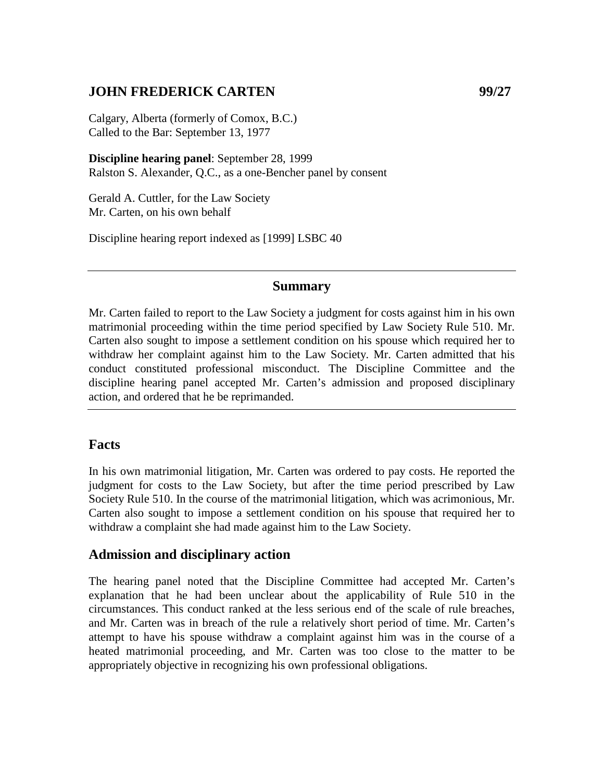## **JOHN FREDERICK CARTEN 99/27**

Calgary, Alberta (formerly of Comox, B.C.) Called to the Bar: September 13, 1977

**Discipline hearing panel**: September 28, 1999 Ralston S. Alexander, Q.C., as a one-Bencher panel by consent

Gerald A. Cuttler, for the Law Society Mr. Carten, on his own behalf

Discipline hearing report indexed as [1999] LSBC 40

## **Summary**

Mr. Carten failed to report to the Law Society a judgment for costs against him in his own matrimonial proceeding within the time period specified by Law Society Rule 510. Mr. Carten also sought to impose a settlement condition on his spouse which required her to withdraw her complaint against him to the Law Society. Mr. Carten admitted that his conduct constituted professional misconduct. The Discipline Committee and the discipline hearing panel accepted Mr. Carten's admission and proposed disciplinary action, and ordered that he be reprimanded.

## **Facts**

In his own matrimonial litigation, Mr. Carten was ordered to pay costs. He reported the judgment for costs to the Law Society, but after the time period prescribed by Law Society Rule 510. In the course of the matrimonial litigation, which was acrimonious, Mr. Carten also sought to impose a settlement condition on his spouse that required her to withdraw a complaint she had made against him to the Law Society.

## **Admission and disciplinary action**

The hearing panel noted that the Discipline Committee had accepted Mr. Carten's explanation that he had been unclear about the applicability of Rule 510 in the circumstances. This conduct ranked at the less serious end of the scale of rule breaches, and Mr. Carten was in breach of the rule a relatively short period of time. Mr. Carten's attempt to have his spouse withdraw a complaint against him was in the course of a heated matrimonial proceeding, and Mr. Carten was too close to the matter to be appropriately objective in recognizing his own professional obligations.